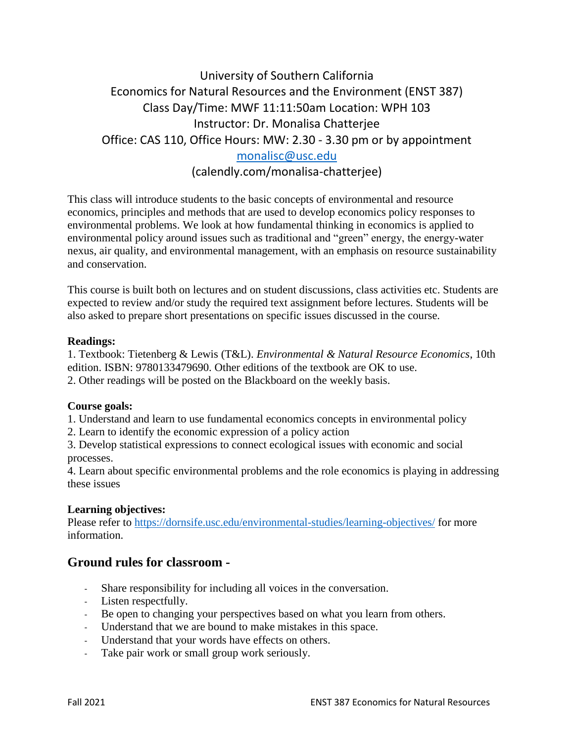# University of Southern California Economics for Natural Resources and the Environment (ENST 387) Class Day/Time: MWF 11:11:50am Location: WPH 103 Instructor: Dr. Monalisa Chatterjee Office: CAS 110, Office Hours: MW: 2.30 - 3.30 pm or by appointment [monalisc@usc.edu](mailto:monalisc@usc.edu) (calendly.com/monalisa-chatterjee)

This class will introduce students to the basic concepts of environmental and resource economics, principles and methods that are used to develop economics policy responses to environmental problems. We look at how fundamental thinking in economics is applied to environmental policy around issues such as traditional and "green" energy, the energy-water nexus, air quality, and environmental management, with an emphasis on resource sustainability and conservation.

This course is built both on lectures and on student discussions, class activities etc. Students are expected to review and/or study the required text assignment before lectures. Students will be also asked to prepare short presentations on specific issues discussed in the course.

#### **Readings:**

1. Textbook: Tietenberg & Lewis (T&L). *Environmental & Natural Resource Economics*, 10th edition. ISBN: 9780133479690. Other editions of the textbook are OK to use.

2. Other readings will be posted on the Blackboard on the weekly basis.

#### **Course goals:**

1. Understand and learn to use fundamental economics concepts in environmental policy

2. Learn to identify the economic expression of a policy action

3. Develop statistical expressions to connect ecological issues with economic and social processes.

4. Learn about specific environmental problems and the role economics is playing in addressing these issues

#### **Learning objectives:**

Please refer to<https://dornsife.usc.edu/environmental-studies/learning-objectives/> for more information.

## **Ground rules for classroom -**

- Share responsibility for including all voices in the conversation.
- Listen respectfully.
- Be open to changing your perspectives based on what you learn from others.
- Understand that we are bound to make mistakes in this space.
- Understand that your words have effects on others.
- Take pair work or small group work seriously.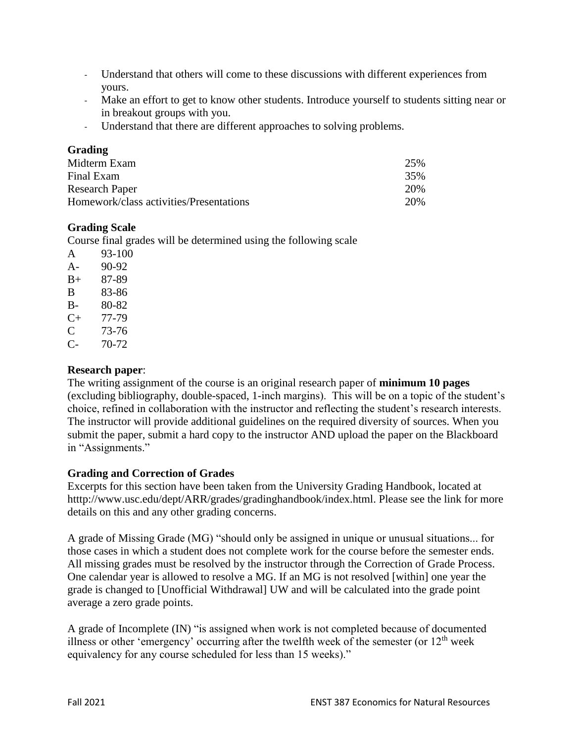- Understand that others will come to these discussions with different experiences from yours.
- Make an effort to get to know other students. Introduce yourself to students sitting near or in breakout groups with you.
- Understand that there are different approaches to solving problems.

#### **Grading**

| Midterm Exam                            | 25% |
|-----------------------------------------|-----|
| Final Exam                              | 35% |
| <b>Research Paper</b>                   | 20% |
| Homework/class activities/Presentations | 20% |

## **Grading Scale**

Course final grades will be determined using the following scale

| A         | 93-100 |
|-----------|--------|
| A-        | 90-92  |
| $B+$      | 87-89  |
| B         | 83-86  |
| В-        | 80-82  |
| $C_{\pm}$ | 77-79  |
| C         | 73-76  |
| C-        | 70-72  |

### **Research paper**:

The writing assignment of the course is an original research paper of **minimum 10 pages** (excluding bibliography, double-spaced, 1-inch margins). This will be on a topic of the student's choice, refined in collaboration with the instructor and reflecting the student's research interests. The instructor will provide additional guidelines on the required diversity of sources. When you submit the paper, submit a hard copy to the instructor AND upload the paper on the Blackboard in "Assignments."

#### **Grading and Correction of Grades**

Excerpts for this section have been taken from the University Grading Handbook, located at htttp://www.usc.edu/dept/ARR/grades/gradinghandbook/index.html. Please see the link for more details on this and any other grading concerns.

A grade of Missing Grade (MG) "should only be assigned in unique or unusual situations... for those cases in which a student does not complete work for the course before the semester ends. All missing grades must be resolved by the instructor through the Correction of Grade Process. One calendar year is allowed to resolve a MG. If an MG is not resolved [within] one year the grade is changed to [Unofficial Withdrawal] UW and will be calculated into the grade point average a zero grade points.

A grade of Incomplete (IN) "is assigned when work is not completed because of documented illness or other 'emergency' occurring after the twelfth week of the semester (or  $12<sup>th</sup>$  week equivalency for any course scheduled for less than 15 weeks)."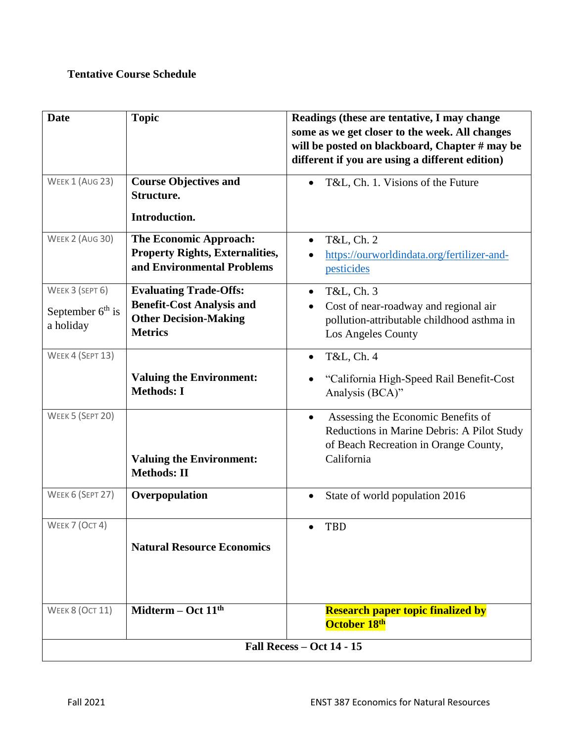## **Tentative Course Schedule**

| <b>Date</b>                                        | <b>Topic</b>                                                                                                        | Readings (these are tentative, I may change<br>some as we get closer to the week. All changes                                                        |  |
|----------------------------------------------------|---------------------------------------------------------------------------------------------------------------------|------------------------------------------------------------------------------------------------------------------------------------------------------|--|
|                                                    |                                                                                                                     | will be posted on blackboard, Chapter # may be<br>different if you are using a different edition)                                                    |  |
| WEEK 1 (AUG 23)                                    | <b>Course Objectives and</b><br>Structure.                                                                          | T&L, Ch. 1. Visions of the Future                                                                                                                    |  |
|                                                    | Introduction.                                                                                                       |                                                                                                                                                      |  |
| WEEK 2 (AUG 30)                                    | <b>The Economic Approach:</b><br><b>Property Rights, Externalities,</b><br>and Environmental Problems               | T&L, Ch. 2<br>https://ourworldindata.org/fertilizer-and-<br>pesticides                                                                               |  |
| WEEK 3 (SEPT 6)<br>September $6th$ is<br>a holiday | <b>Evaluating Trade-Offs:</b><br><b>Benefit-Cost Analysis and</b><br><b>Other Decision-Making</b><br><b>Metrics</b> | T&L, Ch. 3<br>$\bullet$<br>Cost of near-roadway and regional air<br>pollution-attributable childhood asthma in<br>Los Angeles County                 |  |
| WEEK 4 (SEPT 13)                                   |                                                                                                                     | T&L, Ch. 4<br>$\bullet$                                                                                                                              |  |
|                                                    | <b>Valuing the Environment:</b><br><b>Methods: I</b>                                                                | "California High-Speed Rail Benefit-Cost<br>Analysis (BCA)"                                                                                          |  |
| WEEK 5 (SEPT 20)                                   | <b>Valuing the Environment:</b><br><b>Methods: II</b>                                                               | Assessing the Economic Benefits of<br>$\bullet$<br>Reductions in Marine Debris: A Pilot Study<br>of Beach Recreation in Orange County,<br>California |  |
| WEEK 6 (SEPT 27)                                   | Overpopulation                                                                                                      | State of world population 2016                                                                                                                       |  |
| WEEK 7 (OCT 4)                                     | <b>Natural Resource Economics</b>                                                                                   | TBD<br>$\bullet$                                                                                                                                     |  |
| <b>WEEK 8 (OCT 11)</b>                             | Midterm $-$ Oct $11th$                                                                                              | <b>Research paper topic finalized by</b><br>October 18th                                                                                             |  |
| <b>Fall Recess - Oct 14 - 15</b>                   |                                                                                                                     |                                                                                                                                                      |  |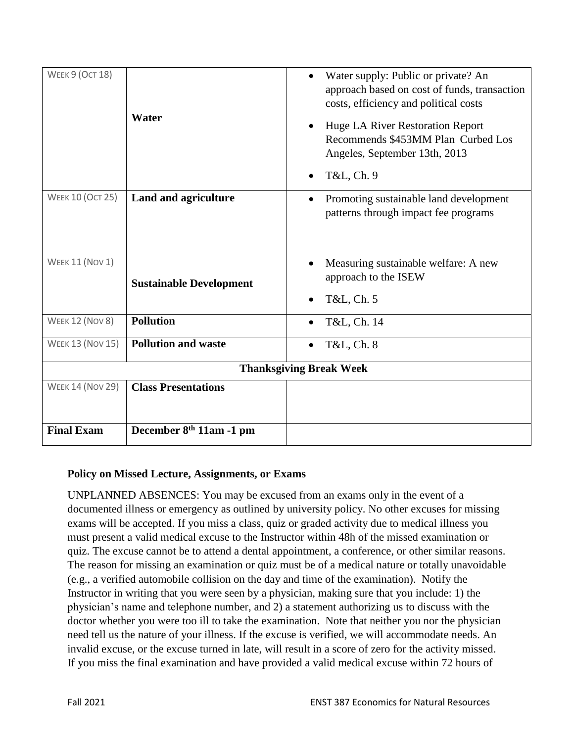| <b>WEEK 9 (OCT 18)</b>         | Water                               | Water supply: Public or private? An<br>approach based on cost of funds, transaction<br>costs, efficiency and political costs<br>Huge LA River Restoration Report<br>Recommends \$453MM Plan Curbed Los<br>Angeles, September 13th, 2013<br>T&L, Ch. 9 |  |
|--------------------------------|-------------------------------------|-------------------------------------------------------------------------------------------------------------------------------------------------------------------------------------------------------------------------------------------------------|--|
| <b>WEEK 10 (OCT 25)</b>        | Land and agriculture                | Promoting sustainable land development<br>patterns through impact fee programs                                                                                                                                                                        |  |
| <b>WEEK 11 (NOV 1)</b>         | <b>Sustainable Development</b>      | Measuring sustainable welfare: A new<br>approach to the ISEW<br>T&L, Ch. 5                                                                                                                                                                            |  |
| <b>WEEK 12 (NOV 8)</b>         | <b>Pollution</b>                    | T&L, Ch. 14                                                                                                                                                                                                                                           |  |
| <b>WEEK 13 (NOV 15)</b>        | <b>Pollution and waste</b>          | T&L, Ch. 8                                                                                                                                                                                                                                            |  |
| <b>Thanksgiving Break Week</b> |                                     |                                                                                                                                                                                                                                                       |  |
| <b>WEEK 14 (NOV 29)</b>        | <b>Class Presentations</b>          |                                                                                                                                                                                                                                                       |  |
| <b>Final Exam</b>              | December 8 <sup>th</sup> 11am -1 pm |                                                                                                                                                                                                                                                       |  |

## **Policy on Missed Lecture, Assignments, or Exams**

UNPLANNED ABSENCES: You may be excused from an exams only in the event of a documented illness or emergency as outlined by university policy. No other excuses for missing exams will be accepted. If you miss a class, quiz or graded activity due to medical illness you must present a valid medical excuse to the Instructor within 48h of the missed examination or quiz. The excuse cannot be to attend a dental appointment, a conference, or other similar reasons. The reason for missing an examination or quiz must be of a medical nature or totally unavoidable (e.g., a verified automobile collision on the day and time of the examination). Notify the Instructor in writing that you were seen by a physician, making sure that you include: 1) the physician's name and telephone number, and 2) a statement authorizing us to discuss with the doctor whether you were too ill to take the examination. Note that neither you nor the physician need tell us the nature of your illness. If the excuse is verified, we will accommodate needs. An invalid excuse, or the excuse turned in late, will result in a score of zero for the activity missed. If you miss the final examination and have provided a valid medical excuse within 72 hours of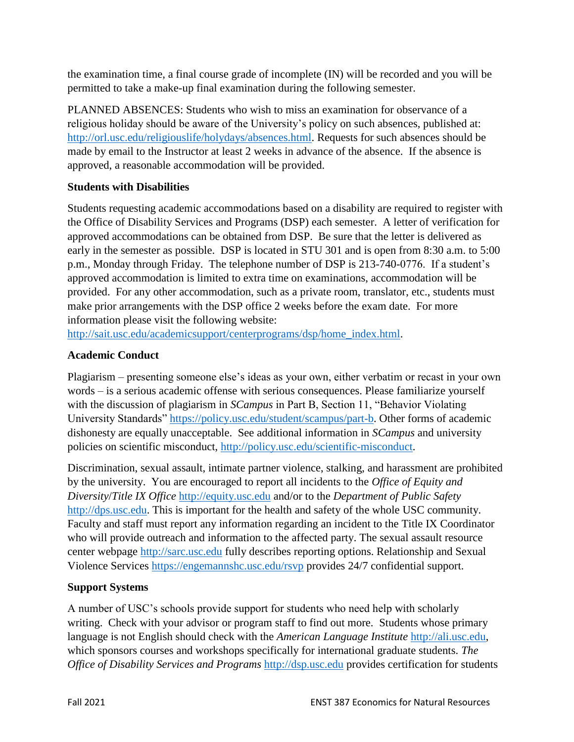the examination time, a final course grade of incomplete (IN) will be recorded and you will be permitted to take a make-up final examination during the following semester.

PLANNED ABSENCES: Students who wish to miss an examination for observance of a religious holiday should be aware of the University's policy on such absences, published at: [http://orl.usc.edu/religiouslife/holydays/absences.html.](http://orl.usc.edu/religiouslife/holydays/absences.html) Requests for such absences should be made by email to the Instructor at least 2 weeks in advance of the absence. If the absence is approved, a reasonable accommodation will be provided.

## **Students with Disabilities**

Students requesting academic accommodations based on a disability are required to register with the Office of Disability Services and Programs (DSP) each semester. A letter of verification for approved accommodations can be obtained from DSP. Be sure that the letter is delivered as early in the semester as possible. DSP is located in STU 301 and is open from 8:30 a.m. to 5:00 p.m., Monday through Friday. The telephone number of DSP is 213-740-0776. If a student's approved accommodation is limited to extra time on examinations, accommodation will be provided. For any other accommodation, such as a private room, translator, etc., students must make prior arrangements with the DSP office 2 weeks before the exam date. For more information please visit the following website:

[http://sait.usc.edu/academicsupport/centerprograms/dsp/home\\_index.html.](http://sait.usc.edu/academicsupport/centerprograms/dsp/home_index.html)

## **Academic Conduct**

Plagiarism – presenting someone else's ideas as your own, either verbatim or recast in your own words – is a serious academic offense with serious consequences. Please familiarize yourself with the discussion of plagiarism in *SCampus* in Part B, Section 11, "Behavior Violating University Standards" [https://policy.usc.edu/student/scampus/part-b.](https://policy.usc.edu/student/scampus/part-b/) Other forms of academic dishonesty are equally unacceptable. See additional information in *SCampus* and university policies on scientific misconduct, [http://policy.usc.edu/scientific-misconduct.](http://policy.usc.edu/scientific-misconduct/)

Discrimination, sexual assault, intimate partner violence, stalking, and harassment are prohibited by the university. You are encouraged to report all incidents to the *Office of Equity and Diversity*/*Title IX Office* [http://equity.usc.edu](http://equity.usc.edu/) and/or to the *Department of Public Safety* [http://dps.usc.edu.](http://dps.usc.edu/) This is important for the health and safety of the whole USC community. Faculty and staff must report any information regarding an incident to the Title IX Coordinator who will provide outreach and information to the affected party. The sexual assault resource center webpage [http://sarc.usc.edu](http://sarc.usc.edu/) fully describes reporting options. Relationship and Sexual Violence Services<https://engemannshc.usc.edu/rsvp> provides 24/7 confidential support.

## **Support Systems**

A number of USC's schools provide support for students who need help with scholarly writing. Check with your advisor or program staff to find out more. Students whose primary language is not English should check with the *American Language Institute* [http://ali.usc.edu,](http://ali.usc.edu/) which sponsors courses and workshops specifically for international graduate students. *The Office of Disability Services and Programs [http://dsp.usc.edu](http://dsp.usc.edu/) provides certification for students*